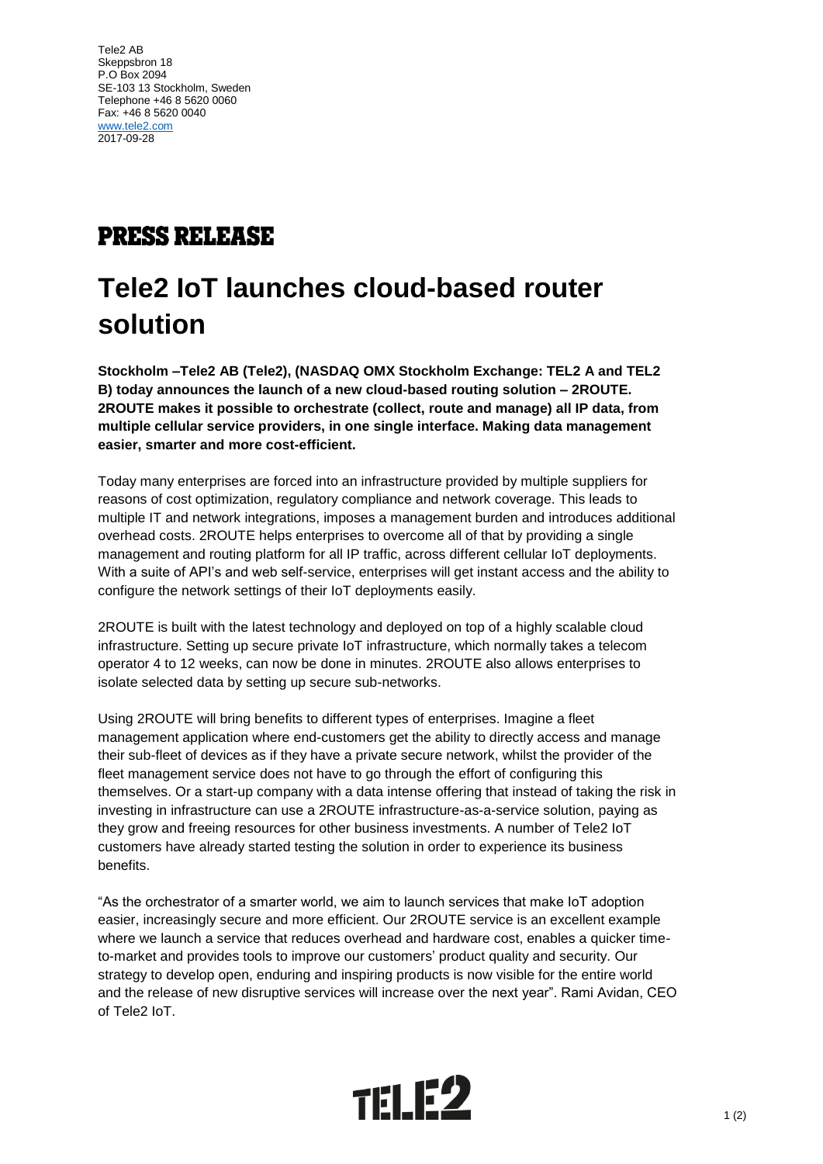Tele2 AB Skeppsbron 18 P.O Box 2094 SE-103 13 Stockholm, Sweden Telephone +46 8 5620 0060 Fax: +46 8 5620 0040 [www.tele2.com](http://www.tele2.com/) 2017-09-28

## **PRESS RELEASE**

## **Tele2 IoT launches cloud-based router solution**

**Stockholm –Tele2 AB (Tele2), (NASDAQ OMX Stockholm Exchange: TEL2 A and TEL2 B) today announces the launch of a new cloud-based routing solution – 2ROUTE. 2ROUTE makes it possible to orchestrate (collect, route and manage) all IP data, from multiple cellular service providers, in one single interface. Making data management easier, smarter and more cost-efficient.**

Today many enterprises are forced into an infrastructure provided by multiple suppliers for reasons of cost optimization, regulatory compliance and network coverage. This leads to multiple IT and network integrations, imposes a management burden and introduces additional overhead costs. 2ROUTE helps enterprises to overcome all of that by providing a single management and routing platform for all IP traffic, across different cellular IoT deployments. With a suite of API's and web self-service, enterprises will get instant access and the ability to configure the network settings of their IoT deployments easily.

2ROUTE is built with the latest technology and deployed on top of a highly scalable cloud infrastructure. Setting up secure private IoT infrastructure, which normally takes a telecom operator 4 to 12 weeks, can now be done in minutes. 2ROUTE also allows enterprises to isolate selected data by setting up secure sub-networks.

Using 2ROUTE will bring benefits to different types of enterprises. Imagine a fleet management application where end-customers get the ability to directly access and manage their sub-fleet of devices as if they have a private secure network, whilst the provider of the fleet management service does not have to go through the effort of configuring this themselves. Or a start-up company with a data intense offering that instead of taking the risk in investing in infrastructure can use a 2ROUTE infrastructure-as-a-service solution, paying as they grow and freeing resources for other business investments. A number of Tele2 IoT customers have already started testing the solution in order to experience its business benefits.

"As the orchestrator of a smarter world, we aim to launch services that make IoT adoption easier, increasingly secure and more efficient. Our 2ROUTE service is an excellent example where we launch a service that reduces overhead and hardware cost, enables a quicker timeto-market and provides tools to improve our customers' product quality and security. Our strategy to develop open, enduring and inspiring products is now visible for the entire world and the release of new disruptive services will increase over the next year". Rami Avidan, CEO of Tele2 IoT.